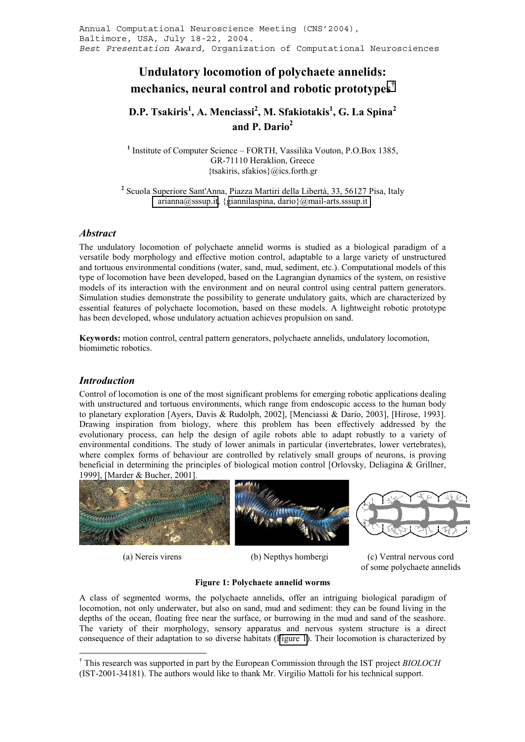# <span id="page-0-0"></span>**Undulatory locomotion of polychaete annelids: mechanics, neural control and robotic prototypes†**

# **D.P. Tsakiris<sup>1</sup> , A. Menciassi<sup>2</sup> , M. Sfakiotakis1 , G. La Spina<sup>2</sup> and P. Dario<sup>2</sup>**

<sup>1</sup> Institute of Computer Science – FORTH, Vassilika Vouton, P.O.Box 1385, GR-71110 Heraklion, Greece {tsakiris, sfakios}@ics.forth.gr

**2** Scuola Superiore Sant'Anna, Piazza Martiri della Libertà, 33, 56127 Pisa, Italy [arianna@sssup.it,](mailto:arianna@sssup.it) {[giannilaspina, dario}@mail-arts.sssup.it](mailto:giannilaspina@mail-arts.sssup.it) 

## *Abstract*

The undulatory locomotion of polychaete annelid worms is studied as a biological paradigm of a versatile body morphology and effective motion control, adaptable to a large variety of unstructured and tortuous environmental conditions (water, sand, mud, sediment, etc.). Computational models of this type of locomotion have been developed, based on the Lagrangian dynamics of the system, on resistive models of its interaction with the environment and on neural control using central pattern generators. Simulation studies demonstrate the possibility to generate undulatory gaits, which are characterized by essential features of polychaete locomotion, based on these models. A lightweight robotic prototype has been developed, whose undulatory actuation achieves propulsion on sand.

**Keywords:** motion control, central pattern generators, polychaete annelids, undulatory locomotion, biomimetic robotics.

# *Introduction*

 $\overline{a}$ 

Control of locomotion is one of the most significant problems for emerging robotic applications dealing with unstructured and tortuous environments, which range from endoscopic access to the human body to planetary exploration [Ayers, Davis & Rudolph, 2002], [Menciassi & Dario, 2003], [Hirose, 1993]. Drawing inspiration from biology, where this problem has been effectively addressed by the evolutionary process, can help the design of agile robots able to adapt robustly to a variety of environmental conditions. The study of lower animals in particular (invertebrates, lower vertebrates), where complex forms of behaviour are controlled by relatively small groups of neurons, is proving beneficial in determining the principles of biological motion control [Orlovsky, Deliagina & Grillner, 1999], [Marder & Bucher, 2001].



(a) Nereis virens (b) Nepthys hombergi (c) Ventral nervous cord of some polychaete annelids

## **Figure 1: Polychaete annelid worms**

A class of segmented worms, the polychaete annelids, offer an intriguing biological paradigm of locomotion, not only underwater, but also on sand, mud and sediment: they can be found living in the depths of the ocean, floating free near the surface, or burrowing in the mud and sand of the seashore. The variety of their morphology, sensory apparatus and nervous system structure is a direct consequence of their adaptation to so diverse habitats (Figure 1). Their locomotion is characterized by

<sup>†</sup> This research was supported in part by the European Commission through the IST project *BIOLOCH* (IST-2001-34181). The authors would like to thank Mr. Virgilio Mattoli for his technical support.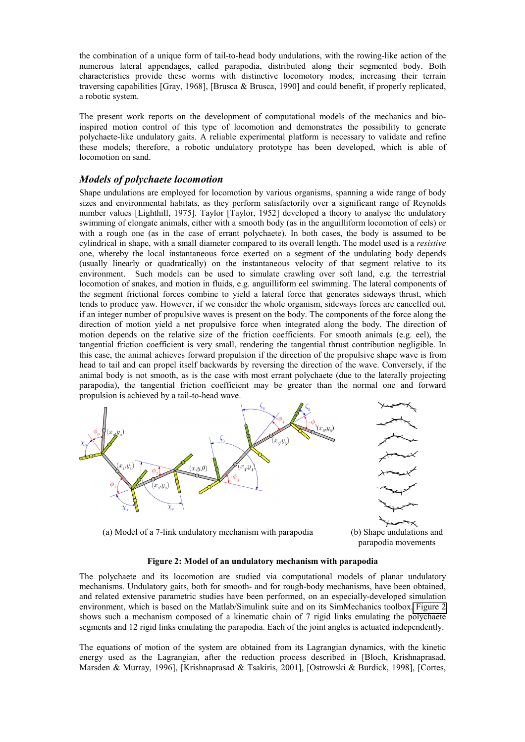<span id="page-1-0"></span>the combination of a unique form of tail-to-head body undulations, with the rowing-like action of the numerous lateral appendages, called parapodia, distributed along their segmented body. Both characteristics provide these worms with distinctive locomotory modes, increasing their terrain traversing capabilities [Gray, 1968], [Brusca & Brusca, 1990] and could benefit, if properly replicated, a robotic system.

The present work reports on the development of computational models of the mechanics and bioinspired motion control of this type of locomotion and demonstrates the possibility to generate polychaete-like undulatory gaits. A reliable experimental platform is necessary to validate and refine these models; therefore, a robotic undulatory prototype has been developed, which is able of locomotion on sand.

# *Models of polychaete locomotion*

Shape undulations are employed for locomotion by various organisms, spanning a wide range of body sizes and environmental habitats, as they perform satisfactorily over a significant range of Reynolds number values [Lighthill, 1975]. Taylor [Taylor, 1952] developed a theory to analyse the undulatory swimming of elongate animals, either with a smooth body (as in the anguilliform locomotion of eels) or with a rough one (as in the case of errant polychaete). In both cases, the body is assumed to be cylindrical in shape, with a small diameter compared to its overall length. The model used is a *resistive* one, whereby the local instantaneous force exerted on a segment of the undulating body depends (usually linearly or quadratically) on the instantaneous velocity of that segment relative to its environment. Such models can be used to simulate crawling over soft land, e.g. the terrestrial locomotion of snakes, and motion in fluids, e.g. anguilliform eel swimming. The lateral components of the segment frictional forces combine to yield a lateral force that generates sideways thrust, which tends to produce yaw. However, if we consider the whole organism, sideways forces are cancelled out, if an integer number of propulsive waves is present on the body. The components of the force along the direction of motion yield a net propulsive force when integrated along the body. The direction of motion depends on the relative size of the friction coefficients. For smooth animals (e.g. eel), the tangential friction coefficient is very small, rendering the tangential thrust contribution negligible. In this case, the animal achieves forward propulsion if the direction of the propulsive shape wave is from head to tail and can propel itself backwards by reversing the direction of the wave. Conversely, if the animal body is not smooth, as is the case with most errant polychaete (due to the laterally projecting parapodia), the tangential friction coefficient may be greater than the normal one and forward propulsion is achieved by a tail-to-head wave.



(a) Model of a 7-link undulatory mechanism with parapodia (b) Shape undulations and

parapodia movements

#### **Figure 2: Model of an undulatory mechanism with parapodia**

The polychaete and its locomotion are studied via computational models of planar undulatory mechanisms. Undulatory gaits, both for smooth- and for rough-body mechanisms, have been obtained, and related extensive parametric studies have been performed, on an especially-developed simulation environment, which is based on the Matlab/Simulink suite and on its SimMechanics toolbox. Figure 2 shows such a mechanism composed of a kinematic chain of 7 rigid links emulating the polychaete segments and 12 rigid links emulating the parapodia. Each of the joint angles is actuated independently.

The equations of motion of the system are obtained from its Lagrangian dynamics, with the kinetic energy used as the Lagrangian, after the reduction process described in [Bloch, Krishnaprasad, Marsden & Murray, 1996], [Krishnaprasad & Tsakiris, 2001], [Ostrowski & Burdick, 1998], [Cortes,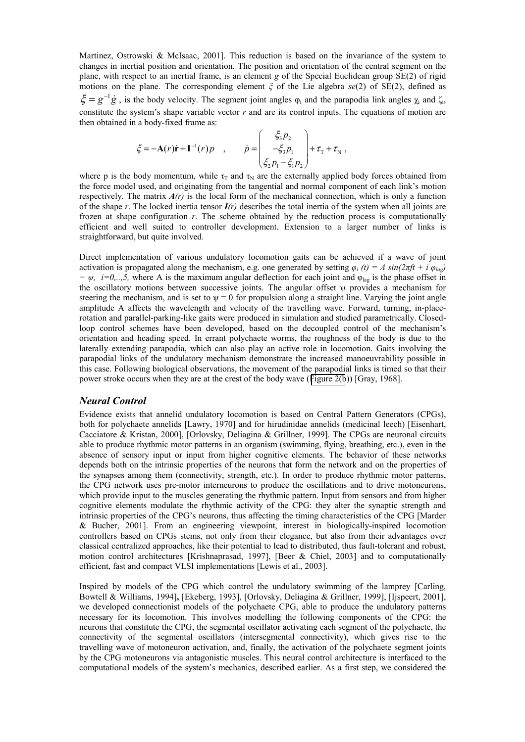Martinez, Ostrowski & McIsaac, 2001]. This reduction is based on the invariance of the system to changes in inertial position and orientation. The position and orientation of the central segment on the plane, with respect to an inertial frame, is an element *g* of the Special Euclidean group SE(2) of rigid motions on the plane. The corresponding element *ξ* of the Lie algebra *se*(2) of SE(2), defined as  $\zeta = g^{-1} \dot{g}$ , is the body velocity. The segment joint angles  $\varphi_i$  and the parapodia link angles  $\chi_i$  and  $\zeta_i$ , constitute the system's shape variable vector *r* and are its control inputs. The equations of motion are then obtained in a body-fixed frame as:

$$
\xi = -\mathbf{A}(r)\dot{\mathbf{r}} + \mathbf{I}^{-1}(r)p \quad , \qquad \dot{p} = \begin{pmatrix} \xi_3 p_2 \\ -\xi_3 p_1 \\ \xi_2 p_1 - \xi_1 p_2 \end{pmatrix} + \tau_{\rm T} + \tau_{\rm N} \; ,
$$

where p is the body momentum, while  $\tau_T$  and  $\tau_N$  are the externally applied body forces obtained from the force model used, and originating from the tangential and normal component of each link's motion respectively. The matrix  $A(r)$  is the local form of the mechanical connection, which is only a function of the shape *r*. The locked inertia tensor *I(r)* describes the total inertia of the system when all joints are frozen at shape configuration *r*. The scheme obtained by the reduction process is computationally efficient and well suited to controller development. Extension to a larger number of links is straightforward, but quite involved.

Direct implementation of various undulatory locomotion gaits can be achieved if a wave of joint activation is propagated along the mechanism, e.g. one generated by setting  $\varphi_i$  (t) = A sin(2 $\pi f t + i \varphi_{la}$ ) *− ψ*, *i*=0,..,5, where A is the maximum angular deflection for each joint and φ<sub>lag</sub> is the phase offset in the oscillatory motions between successive joints. The angular offset ψ provides a mechanism for steering the mechanism, and is set to  $\psi = 0$  for propulsion along a straight line. Varying the joint angle amplitude A affects the wavelength and velocity of the travelling wave. Forward, turning, in-placerotation and parallel-parking-like gaits were produced in simulation and studied parametrically. Closedloop control schemes have been developed, based on the decoupled control of the mechanism's orientation and heading speed. In errant polychaete worms, the roughness of the body is due to the laterally extending parapodia, which can also play an active role in locomotion. Gaits involving the parapodial links of the undulatory mechanism demonstrate the increased manoeuvrability possible in this case. Following biological observations, the movement of the parapodial links is timed so that their power stroke occurs when they are at the crest of the body wave ([Figure 2\(b](#page-1-0))) [Gray, 1968].

## *Neural Control*

Evidence exists that annelid undulatory locomotion is based on Central Pattern Generators (CPGs), both for polychaete annelids [Lawry, 1970] and for hirudinidae annelids (medicinal leech) [Eisenhart, Cacciatore & Kristan, 2000], [Orlovsky, Deliagina & Grillner, 1999]. The CPGs are neuronal circuits able to produce rhythmic motor patterns in an organism (swimming, flying, breathing, etc.), even in the absence of sensory input or input from higher cognitive elements. The behavior of these networks depends both on the intrinsic properties of the neurons that form the network and on the properties of the synapses among them (connectivity, strength, etc.). In order to produce rhythmic motor patterns, the CPG network uses pre-motor interneurons to produce the oscillations and to drive motoneurons, which provide input to the muscles generating the rhythmic pattern. Input from sensors and from higher cognitive elements modulate the rhythmic activity of the CPG: they alter the synaptic strength and intrinsic properties of the CPG's neurons, thus affecting the timing characteristics of the CPG [Marder & Bucher, 2001]. From an engineering viewpoint, interest in biologically-inspired locomotion controllers based on CPGs stems, not only from their elegance, but also from their advantages over classical centralized approaches, like their potential to lead to distributed, thus fault-tolerant and robust, motion control architectures [Krishnaprasad, 1997], [Beer & Chiel, 2003] and to computationally efficient, fast and compact VLSI implementations [Lewis et al., 2003].

Inspired by models of the CPG which control the undulatory swimming of the lamprey [Carling, Bowtell & Williams, 1994]**,** [Ekeberg, 1993], [Orlovsky, Deliagina & Grillner, 1999], [Ijspeert, 2001], we developed connectionist models of the polychaete CPG, able to produce the undulatory patterns necessary for its locomotion. This involves modelling the following components of the CPG: the neurons that constitute the CPG, the segmental oscillator activating each segment of the polychaete, the connectivity of the segmental oscillators (intersegmental connectivity), which gives rise to the travelling wave of motoneuron activation, and, finally, the activation of the polychaete segment joints by the CPG motoneurons via antagonistic muscles. This neural control architecture is interfaced to the computational models of the system's mechanics, described earlier. As a first step, we considered the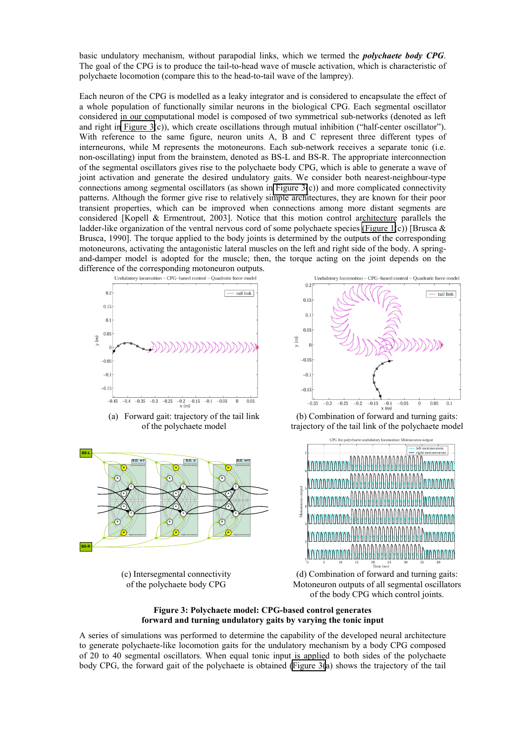<span id="page-3-0"></span>basic undulatory mechanism, without parapodial links, which we termed the *polychaete body CPG*. The goal of the CPG is to produce the tail-to-head wave of muscle activation, which is characteristic of polychaete locomotion (compare this to the head-to-tail wave of the lamprey).

Each neuron of the CPG is modelled as a leaky integrator and is considered to encapsulate the effect of a whole population of functionally similar neurons in the biological CPG. Each segmental oscillator considered in our computational model is composed of two symmetrical sub-networks (denoted as left and right in Figure  $3(c)$ ), which create oscillations through mutual inhibition ("half-center oscillator"). With reference to the same figure, neuron units A, B and C represent three different types of interneurons, while M represents the motoneurons. Each sub-network receives a separate tonic (i.e. non-oscillating) input from the brainstem, denoted as BS-L and BS-R. The appropriate interconnection of the segmental oscillators gives rise to the polychaete body CPG, which is able to generate a wave of joint activation and generate the desired undulatory gaits. We consider both nearest-neighbour-type connections among segmental oscillators (as shown in Figure 3(c)) and more complicated connectivity patterns. Although the former give rise to relatively simple architectures, they are known for their poor transient properties, which can be improved when connections among more distant segments are considered [Kopell & Ermentrout, 2003]. Notice that this motion control architecture parallels the ladder-like organization of the ventral nervous cord of some polychaete species [\(Figure 1\(](#page-0-0)c)) [Brusca  $\&$ Brusca, 1990]. The torque applied to the body joints is determined by the outputs of the corresponding motoneurons, activating the antagonistic lateral muscles on the left and right side of the body. A springand-damper model is adopted for the muscle; then, the torque acting on the joint depends on the



(a) Forward gait: trajectory of the tail link of the polychaete model



(c) Intersegmental connectivity of the polychaete body CPG



(b) Combination of forward and turning gaits: trajectory of the tail link of the polychaete model



(d) Combination of forward and turning gaits: Motoneuron outputs of all segmental oscillators of the body CPG which control joints.

### **Figure 3: Polychaete model: CPG-based control generates forward and turning undulatory gaits by varying the tonic input**

A series of simulations was performed to determine the capability of the developed neural architecture to generate polychaete-like locomotion gaits for the undulatory mechanism by a body CPG composed of 20 to 40 segmental oscillators. When equal tonic input is applied to both sides of the polychaete body CPG, the forward gait of the polychaete is obtained (Figure 3(a) shows the trajectory of the tail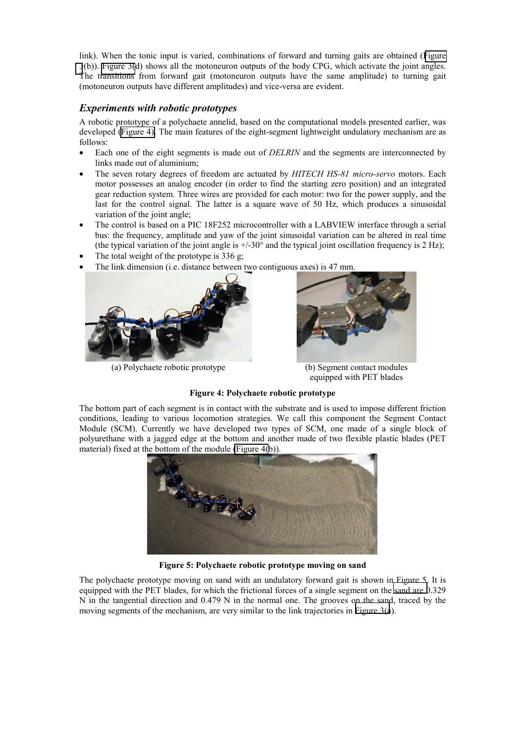link). When the tonic input is varied, combinations of forward and turning gaits are obtained ([Figure](#page-3-0)  [3](#page-3-0)(b)). [Figure 3\(](#page-3-0)d) shows all the motoneuron outputs of the body CPG, which activate the joint angles. The transitions from forward gait (motoneuron outputs have the same amplitude) to turning gait (motoneuron outputs have different amplitudes) and vice-versa are evident.

# *Experiments with robotic prototypes*

A robotic prototype of a polychaete annelid, based on the computational models presented earlier, was developed (Figure 4). The main features of the eight-segment lightweight undulatory mechanism are as follows:

- Each one of the eight segments is made out of *DELRIN* and the segments are interconnected by links made out of aluminium;
- The seven rotary degrees of freedom are actuated by *HITECH HS-81 micro-servo* motors. Each motor possesses an analog encoder (in order to find the starting zero position) and an integrated gear reduction system. Three wires are provided for each motor: two for the power supply, and the last for the control signal. The latter is a square wave of 50 Hz, which produces a sinusoidal variation of the joint angle;
- The control is based on a PIC 18F252 microcontroller with a LABVIEW interface through a serial bus: the frequency, amplitude and yaw of the joint sinusoidal variation can be altered in real time (the typical variation of the joint angle is  $+/-30^{\circ}$  and the typical joint oscillation frequency is 2 Hz);
- The total weight of the prototype is  $336$  g;



(a) Polychaete robotic prototype (b) Segment contact modules



equipped with PET blades

## **Figure 4: Polychaete robotic prototype**

The bottom part of each segment is in contact with the substrate and is used to impose different friction conditions, leading to various locomotion strategies. We call this component the Segment Contact Module (SCM). Currently we have developed two types of SCM, one made of a single block of polyurethane with a jagged edge at the bottom and another made of two flexible plastic blades (PET material) fixed at the bottom of the module (Figure 4(b)).



**Figure 5: Polychaete robotic prototype moving on sand** 

The polychaete prototype moving on sand with an undulatory forward gait is shown in Figure 5. It is equipped with the PET blades, for which the frictional forces of a single segment on the sand are 0.329 N in the tangential direction and 0.479 N in the normal one. The grooves on the sand, traced by the moving segments of the mechanism, are very similar to the link trajectories in [Figure 3\(a](#page-3-0)).